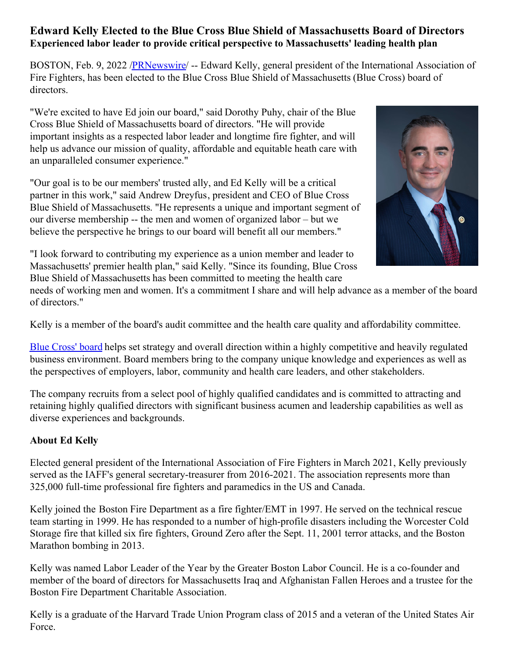## **Edward Kelly Elected to the Blue Cross Blue Shield of Massachusetts Board of Directors Experienced labor leader to provide critical perspective to Massachusetts' leading health plan**

BOSTON, Feb. 9, 2022 [/PRNewswire](http://www.prnewswire.com/)/ -- Edward Kelly, general president of the International Association of Fire Fighters, has been elected to the Blue Cross Blue Shield of Massachusetts (Blue Cross) board of directors.

"We're excited to have Ed join our board," said Dorothy Puhy, chair of the Blue Cross Blue Shield of Massachusetts board of directors. "He will provide important insights as a respected labor leader and longtime fire fighter, and will help us advance our mission of quality, affordable and equitable heath care with an unparalleled consumer experience."

"Our goal is to be our members' trusted ally, and Ed Kelly will be a critical partner in this work," said Andrew Dreyfus, president and CEO of Blue Cross Blue Shield of Massachusetts. "He represents a unique and important segment of our diverse membership -- the men and women of organized labor – but we believe the perspective he brings to our board will benefit all our members."



"I look forward to contributing my experience as a union member and leader to Massachusetts' premier health plan," said Kelly. "Since its founding, Blue Cross Blue Shield of Massachusetts has been committed to meeting the health care

needs of working men and women. It's a commitment I share and will help advance as a member of the board of directors."

Kelly is a member of the board's audit committee and the health care quality and affordability committee.

Blue [Cross'](https://c212.net/c/link/?t=0&l=en&o=3437396-1&h=2452404318&u=https%3A%2F%2Fc212.net%2Fc%2Flink%2F%3Ft%3D0%26l%3Den%26o%3D3104520-1%26h%3D1064726439%26u%3Dhttps%253A%252F%252Fc212.net%252Fc%252Flink%252F%253Ft%253D0%2526l%253Den%2526o%253D2840663-1%2526h%253D938495533%2526u%253Dhttps%25253A%25252F%25252Fc212.net%25252Fc%25252Flink%25252F%25253Ft%25253D0%252526l%25253Den%252526o%25253D2522755-1%252526h%25253D1042450362%252526u%25253Dhttp%2525253A%2525252F%2525252Fnewsroom.bluecrossma.com%2525252Fboard%252526a%25253DThe%25252Bcompany%25252527s%25252Bboard%2526a%253DThe%252Bcompany%252527s%252Bboard%26a%3DBlue%2BCross%2527%2Bboard&a=Blue+Cross%27+board) board helps set strategy and overall direction within a highly competitive and heavily regulated business environment. Board members bring to the company unique knowledge and experiences as well as the perspectives of employers, labor, community and health care leaders, and other stakeholders.

The company recruits from a select pool of highly qualified candidates and is committed to attracting and retaining highly qualified directors with significant business acumen and leadership capabilities as well as diverse experiences and backgrounds.

## **About Ed Kelly**

Elected general president of the International Association of Fire Fighters in March 2021, Kelly previously served as the IAFF's general secretary-treasurer from 2016-2021. The association represents more than 325,000 full-time professional fire fighters and paramedics in the US and Canada.

Kelly joined the Boston Fire Department as a fire fighter/EMT in 1997. He served on the technical rescue team starting in 1999. He has responded to a number of high-profile disasters including the Worcester Cold Storage fire that killed six fire fighters, Ground Zero after the Sept. 11, 2001 terror attacks, and the Boston Marathon bombing in 2013.

Kelly was named Labor Leader of the Year by the Greater Boston Labor Council. He is a co-founder and member of the board of directors for Massachusetts Iraq and Afghanistan Fallen Heroes and a trustee for the Boston Fire Department Charitable Association.

Kelly is a graduate of the Harvard Trade Union Program class of 2015 and a veteran of the United States Air Force.